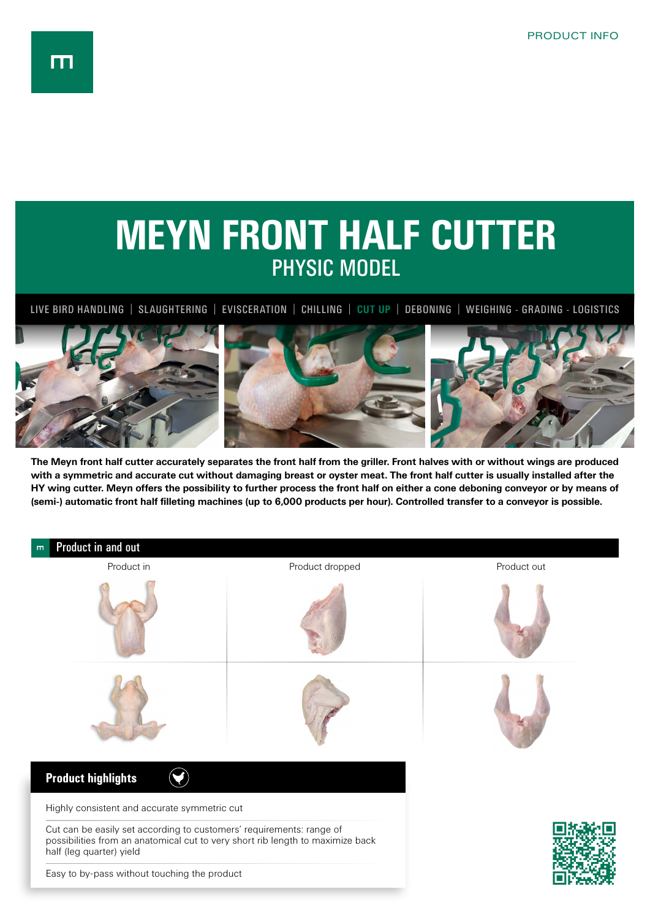m



**The Meyn front half cutter accurately separates the front half from the griller. Front halves with or without wings are produced with a symmetric and accurate cut without damaging breast or oyster meat. The front half cutter is usually installed after the HY wing cutter. Meyn offers the possibility to further process the front half on either a cone deboning conveyor or by means of (semi-) automatic front half filleting machines (up to 6,000 products per hour). Controlled transfer to a conveyor is possible.**



Easy to by-pass without touching the product